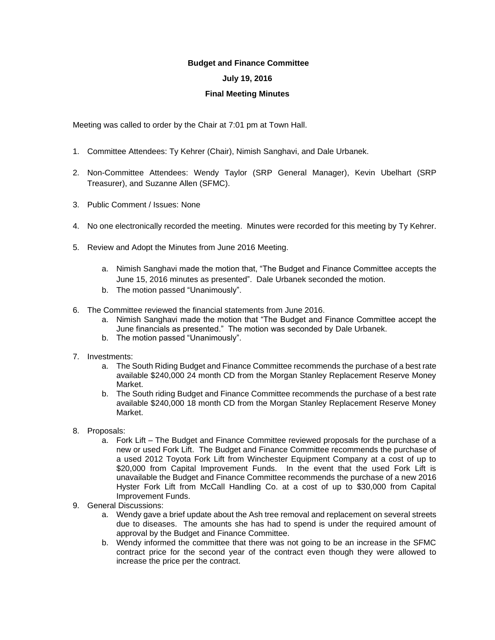## **Budget and Finance Committee**

## **July 19, 2016**

## **Final Meeting Minutes**

Meeting was called to order by the Chair at 7:01 pm at Town Hall.

- 1. Committee Attendees: Ty Kehrer (Chair), Nimish Sanghavi, and Dale Urbanek.
- 2. Non-Committee Attendees: Wendy Taylor (SRP General Manager), Kevin Ubelhart (SRP Treasurer), and Suzanne Allen (SFMC).
- 3. Public Comment / Issues: None
- 4. No one electronically recorded the meeting. Minutes were recorded for this meeting by Ty Kehrer.
- 5. Review and Adopt the Minutes from June 2016 Meeting.
	- a. Nimish Sanghavi made the motion that, "The Budget and Finance Committee accepts the June 15, 2016 minutes as presented". Dale Urbanek seconded the motion.
	- b. The motion passed "Unanimously".
- 6. The Committee reviewed the financial statements from June 2016.
	- a. Nimish Sanghavi made the motion that "The Budget and Finance Committee accept the June financials as presented." The motion was seconded by Dale Urbanek.
	- b. The motion passed "Unanimously".
- 7. Investments:
	- a. The South Riding Budget and Finance Committee recommends the purchase of a best rate available \$240,000 24 month CD from the Morgan Stanley Replacement Reserve Money Market.
	- b. The South riding Budget and Finance Committee recommends the purchase of a best rate available \$240,000 18 month CD from the Morgan Stanley Replacement Reserve Money Market.
- 8. Proposals:
	- a. Fork Lift The Budget and Finance Committee reviewed proposals for the purchase of a new or used Fork Lift. The Budget and Finance Committee recommends the purchase of a used 2012 Toyota Fork Lift from Winchester Equipment Company at a cost of up to \$20,000 from Capital Improvement Funds. In the event that the used Fork Lift is unavailable the Budget and Finance Committee recommends the purchase of a new 2016 Hyster Fork Lift from McCall Handling Co. at a cost of up to \$30,000 from Capital Improvement Funds.
- 9. General Discussions:
	- a. Wendy gave a brief update about the Ash tree removal and replacement on several streets due to diseases. The amounts she has had to spend is under the required amount of approval by the Budget and Finance Committee.
	- b. Wendy informed the committee that there was not going to be an increase in the SFMC contract price for the second year of the contract even though they were allowed to increase the price per the contract.